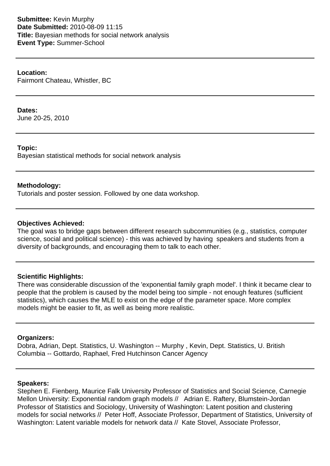**Submittee:** Kevin Murphy **Date Submitted:** 2010-08-09 11:15 **Title:** Bayesian methods for social network analysis **Event Type:** Summer-School

**Location:** Fairmont Chateau, Whistler, BC

#### **Dates:**

June 20-25, 2010

## **Topic:**

Bayesian statistical methods for social network analysis

## **Methodology:**

Tutorials and poster session. Followed by one data workshop.

## **Objectives Achieved:**

The goal was to bridge gaps between different research subcommunities (e.g., statistics, computer science, social and political science) - this was achieved by having speakers and students from a diversity of backgrounds, and encouraging them to talk to each other.

## **Scientific Highlights:**

There was considerable discussion of the 'exponential family graph model'. I think it became clear to people that the problem is caused by the model being too simple - not enough features (sufficient statistics), which causes the MLE to exist on the edge of the parameter space. More complex models might be easier to fit, as well as being more realistic.

#### **Organizers:**

Dobra, Adrian, Dept. Statistics, U. Washington -- Murphy , Kevin, Dept. Statistics, U. British Columbia -- Gottardo, Raphael, Fred Hutchinson Cancer Agency

## **Speakers:**

Stephen E. Fienberg, Maurice Falk University Professor of Statistics and Social Science, Carnegie Mellon University: Exponential random graph models // Adrian E. Raftery, Blumstein-Jordan Professor of Statistics and Sociology, University of Washington: Latent position and clustering models for social networks // Peter Hoff, Associate Professor, Department of Statistics, University of Washington: Latent variable models for network data // Kate Stovel, Associate Professor,